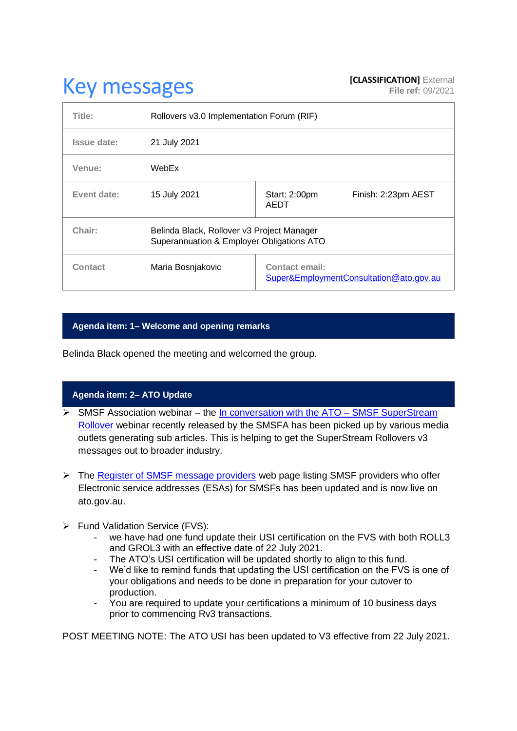# **Key messages [CLASSIFICATION]** External **[CLASSIFICATION]** External

| Title:      | Rollovers v3.0 Implementation Forum (RIF)                                               |                                                                  |  |
|-------------|-----------------------------------------------------------------------------------------|------------------------------------------------------------------|--|
| Issue date: | 21 July 2021                                                                            |                                                                  |  |
| Venue:      | WebEx                                                                                   |                                                                  |  |
| Event date: | 15 July 2021                                                                            | Start: 2:00pm<br>Finish: 2:23pm AEST<br><b>AEDT</b>              |  |
| Chair:      | Belinda Black, Rollover v3 Project Manager<br>Superannuation & Employer Obligations ATO |                                                                  |  |
| Contact     | Maria Bosnjakovic                                                                       | <b>Contact email:</b><br>Super&EmploymentConsultation@ato.gov.au |  |

# **Agenda item: 1– Welcome and opening remarks**

Belinda Black opened the meeting and welcomed the group.

# **Agenda item: 2– ATO Update**

- $\triangleright$  SMSF Association webinar the [In conversation with the ATO –](https://vimeo.com/571044025/88265cf5ee) SMSF SuperStream [Rollover](https://vimeo.com/571044025/88265cf5ee) webinar recently released by the SMSFA has been picked up by various media outlets generating sub articles. This is helping to get the SuperStream Rollovers v3 messages out to broader industry.
- ➢ The [Register of SMSF message providers](https://www.ato.gov.au/Super/Superstream/Self-managed-super-funds/electronic-service-address/register-of-SMSF-messaging-providers/) web page listing SMSF providers who offer Electronic service addresses (ESAs) for SMSFs has been updated and is now live on ato.gov.au.
- ➢ Fund Validation Service (FVS):
	- we have had one fund update their USI certification on the FVS with both ROLL3 and GROL3 with an effective date of 22 July 2021.
	- The ATO's USI certification will be updated shortly to align to this fund.<br>- We'd like to remind funds that updating the USI certification on the FVS
	- We'd like to remind funds that updating the USI certification on the FVS is one of your obligations and needs to be done in preparation for your cutover to production.
	- You are required to update your certifications a minimum of 10 business days prior to commencing Rv3 transactions.

POST MEETING NOTE: The ATO USI has been updated to V3 effective from 22 July 2021.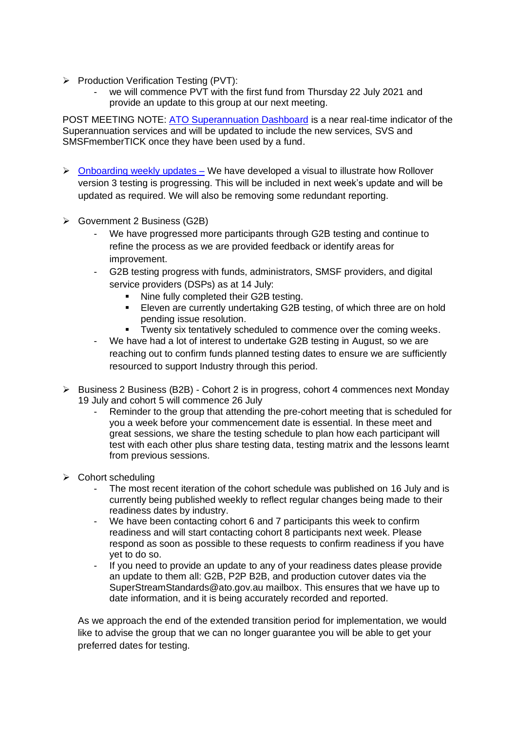- ➢ Production Verification Testing (PVT):
	- we will commence PVT with the first fund from Thursday 22 July 2021 and provide an update to this group at our next meeting.

POST MEETING NOTE: [ATO Superannuation Dashboard](http://sses.status.ato.gov.au/) is a near real-time indicator of the Superannuation services and will be updated to include the new services, SVS and SMSFmemberTICK once they have been used by a fund.

- $\triangleright$  [Onboarding weekly updates –](https://www.ato.gov.au/Super/Sup/SuperStream-Rollover-v3/) We have developed a visual to illustrate how Rollover version 3 testing is progressing. This will be included in next week's update and will be updated as required. We will also be removing some redundant reporting.
- ➢ Government 2 Business (G2B)
	- We have progressed more participants through G2B testing and continue to refine the process as we are provided feedback or identify areas for improvement.
	- G2B testing progress with funds, administrators, SMSF providers, and digital service providers (DSPs) as at 14 July:
		- **■** Nine fully completed their G2B testing.
		- Eleven are currently undertaking G2B testing, of which three are on hold pending issue resolution.
		- **EXECT** Twenty six tentatively scheduled to commence over the coming weeks.
	- We have had a lot of interest to undertake G2B testing in August, so we are reaching out to confirm funds planned testing dates to ensure we are sufficiently resourced to support Industry through this period.
- ➢ Business 2 Business (B2B) Cohort 2 is in progress, cohort 4 commences next Monday 19 July and cohort 5 will commence 26 July
	- Reminder to the group that attending the pre-cohort meeting that is scheduled for you a week before your commencement date is essential. In these meet and great sessions, we share the testing schedule to plan how each participant will test with each other plus share testing data, testing matrix and the lessons learnt from previous sessions.
- ➢ Cohort scheduling
	- The most recent iteration of the cohort schedule was published on 16 July and is currently being published weekly to reflect regular changes being made to their readiness dates by industry.
	- We have been contacting cohort 6 and 7 participants this week to confirm readiness and will start contacting cohort 8 participants next week. Please respond as soon as possible to these requests to confirm readiness if you have yet to do so.
	- If you need to provide an update to any of your readiness dates please provide an update to them all: G2B, P2P B2B, and production cutover dates via the SuperStreamStandards@ato.gov.au mailbox. This ensures that we have up to date information, and it is being accurately recorded and reported.

As we approach the end of the extended transition period for implementation, we would like to advise the group that we can no longer guarantee you will be able to get your preferred dates for testing.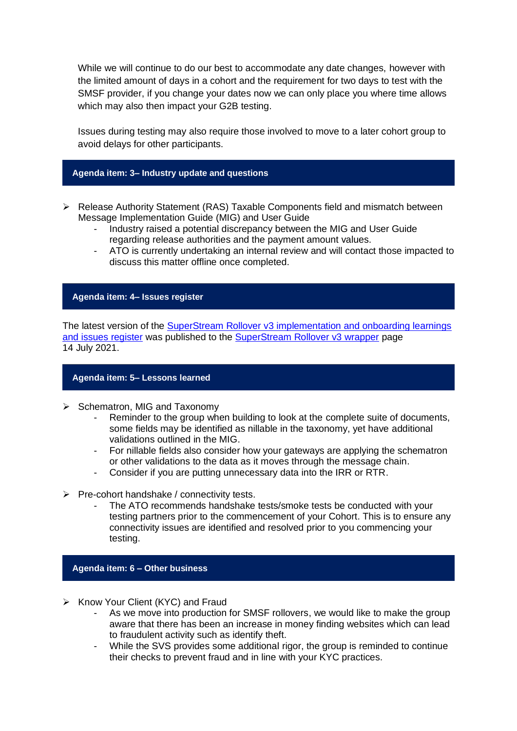While we will continue to do our best to accommodate any date changes, however with the limited amount of days in a cohort and the requirement for two days to test with the SMSF provider, if you change your dates now we can only place you where time allows which may also then impact your G2B testing.

Issues during testing may also require those involved to move to a later cohort group to avoid delays for other participants.

## **Agenda item: 3– Industry update and questions**

- ➢ Release Authority Statement (RAS) Taxable Components field and mismatch between Message Implementation Guide (MIG) and User Guide
	- Industry raised a potential discrepancy between the MIG and User Guide regarding release authorities and the payment amount values.
	- ATO is currently undertaking an internal review and will contact those impacted to discuss this matter offline once completed.

## **Agenda item: 4– Issues register**

The latest version of the [SuperStream Rollover v3 implementation and onboarding learnings](https://www.ato.gov.au/uploadedFiles/Content/SPR/downloads/SuperStream_Rollovers_v3_Implementation_and_onboarding_learning_and_issues_register.pdf)  [and issues register](https://www.ato.gov.au/uploadedFiles/Content/SPR/downloads/SuperStream_Rollovers_v3_Implementation_and_onboarding_learning_and_issues_register.pdf) was published to the **SuperStream Rollover v3 wrapper page** 14 July 2021.

## **Agenda item: 5– Lessons learned**

- ➢ Schematron, MIG and Taxonomy
	- Reminder to the group when building to look at the complete suite of documents, some fields may be identified as nillable in the taxonomy, yet have additional validations outlined in the MIG.
	- For nillable fields also consider how your gateways are applying the schematron or other validations to the data as it moves through the message chain.
	- Consider if you are putting unnecessary data into the IRR or RTR.
- $\triangleright$  Pre-cohort handshake / connectivity tests.
	- The ATO recommends handshake tests/smoke tests be conducted with your testing partners prior to the commencement of your Cohort. This is to ensure any connectivity issues are identified and resolved prior to you commencing your testing.

#### **Agenda item: 6 – Other business**

- ➢ Know Your Client (KYC) and Fraud
	- As we move into production for SMSF rollovers, we would like to make the group aware that there has been an increase in money finding websites which can lead to fraudulent activity such as identify theft.
	- While the SVS provides some additional rigor, the group is reminded to continue their checks to prevent fraud and in line with your KYC practices.